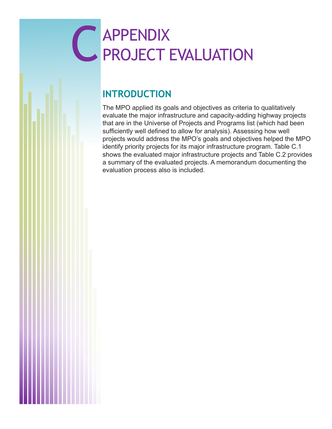# C APPENDIX<br>PROJECT PROJECT EVALUATION

# **INTRODUCTION**

The MPO applied its goals and objectives as criteria to qualitatively evaluate the major infrastructure and capacity-adding highway projects that are in the Universe of Projects and Programs list (which had been sufficiently well defined to allow for analysis). Assessing how well projects would address the MPO's goals and objectives helped the MPO identify priority projects for its major infrastructure program. Table C.1 shows the evaluated major infrastructure projects and Table C.2 provides a summary of the evaluated projects. A memorandum documenting the evaluation process also is included.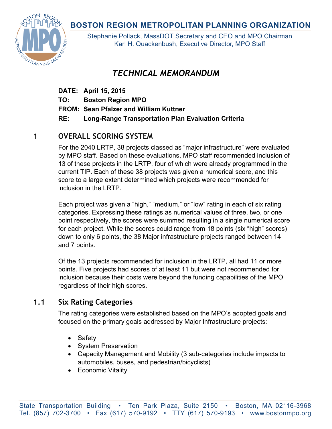# **BOSTON REGION METROPOLITAN PLANNING ORGANIZATION**



Stephanie Pollack, MassDOT Secretary and CEO and MPO Chairman Karl H. Quackenbush, Executive Director, MPO Staff

# *TECHNICAL MEMORANDUM*

**DATE: April 15, 2015** 

**TO: Boston Region MPO** 

**FROM: Sean Pfalzer and William Kuttner** 

**RE: Long-Range Transportation Plan Evaluation Criteria** 

# **1 OVERALL SCORING SYSTEM**

For the 2040 LRTP, 38 projects classed as "major infrastructure" were evaluated by MPO staff. Based on these evaluations, MPO staff recommended inclusion of 13 of these projects in the LRTP, four of which were already programmed in the current TIP. Each of these 38 projects was given a numerical score, and this score to a large extent determined which projects were recommended for inclusion in the LRTP.

Each project was given a "high," "medium," or "low" rating in each of six rating categories. Expressing these ratings as numerical values of three, two, or one point respectively, the scores were summed resulting in a single numerical score for each project. While the scores could range from 18 points (six "high" scores) down to only 6 points, the 38 Major infrastructure projects ranged between 14 and 7 points.

Of the 13 projects recommended for inclusion in the LRTP, all had 11 or more points. Five projects had scores of at least 11 but were not recommended for inclusion because their costs were beyond the funding capabilities of the MPO regardless of their high scores.

# **1.1 Six Rating Categories**

The rating categories were established based on the MPO's adopted goals and focused on the primary goals addressed by Major Infrastructure projects:

- Safety
- System Preservation
- Capacity Management and Mobility (3 sub-categories include impacts to automobiles, buses, and pedestrian/bicyclists)
- Economic Vitality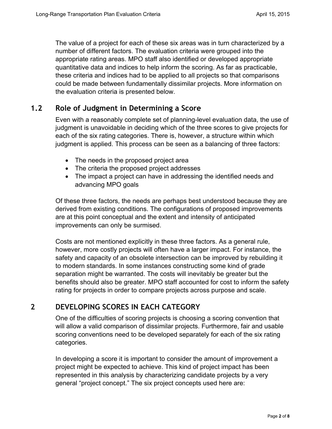The value of a project for each of these six areas was in turn characterized by a number of different factors. The evaluation criteria were grouped into the appropriate rating areas. MPO staff also identified or developed appropriate quantitative data and indices to help inform the scoring. As far as practicable, these criteria and indices had to be applied to all projects so that comparisons could be made between fundamentally dissimilar projects. More information on the evaluation criteria is presented below.

#### **1.2 Role of Judgment in Determining a Score**

Even with a reasonably complete set of planning-level evaluation data, the use of judgment is unavoidable in deciding which of the three scores to give projects for each of the six rating categories. There is, however, a structure within which judgment is applied. This process can be seen as a balancing of three factors:

- The needs in the proposed project area
- The criteria the proposed project addresses
- The impact a project can have in addressing the identified needs and advancing MPO goals

Of these three factors, the needs are perhaps best understood because they are derived from existing conditions. The configurations of proposed improvements are at this point conceptual and the extent and intensity of anticipated improvements can only be surmised.

Costs are not mentioned explicitly in these three factors. As a general rule, however, more costly projects will often have a larger impact. For instance, the safety and capacity of an obsolete intersection can be improved by rebuilding it to modern standards. In some instances constructing some kind of grade separation might be warranted. The costs will inevitably be greater but the benefits should also be greater. MPO staff accounted for cost to inform the safety rating for projects in order to compare projects across purpose and scale.

## **2 DEVELOPING SCORES IN EACH CATEGORY**

One of the difficulties of scoring projects is choosing a scoring convention that will allow a valid comparison of dissimilar projects. Furthermore, fair and usable scoring conventions need to be developed separately for each of the six rating categories.

In developing a score it is important to consider the amount of improvement a project might be expected to achieve. This kind of project impact has been represented in this analysis by characterizing candidate projects by a very general "project concept." The six project concepts used here are: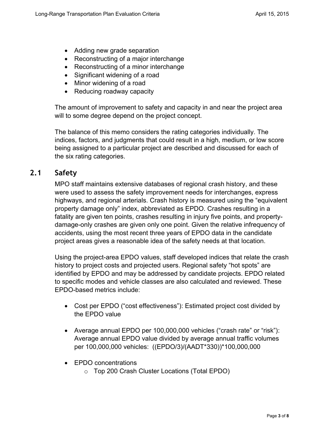- Adding new grade separation
- Reconstructing of a major interchange
- Reconstructing of a minor interchange
- Significant widening of a road
- Minor widening of a road
- Reducing roadway capacity

The amount of improvement to safety and capacity in and near the project area will to some degree depend on the project concept.

The balance of this memo considers the rating categories individually. The indices, factors, and judgments that could result in a high, medium, or low score being assigned to a particular project are described and discussed for each of the six rating categories.

#### **2.1 Safety**

MPO staff maintains extensive databases of regional crash history, and these were used to assess the safety improvement needs for interchanges, express highways, and regional arterials. Crash history is measured using the "equivalent property damage only" index, abbreviated as EPDO. Crashes resulting in a fatality are given ten points, crashes resulting in injury five points, and propertydamage-only crashes are given only one point. Given the relative infrequency of accidents, using the most recent three years of EPDO data in the candidate project areas gives a reasonable idea of the safety needs at that location.

Using the project-area EPDO values, staff developed indices that relate the crash history to project costs and projected users. Regional safety "hot spots" are identified by EPDO and may be addressed by candidate projects. EPDO related to specific modes and vehicle classes are also calculated and reviewed. These EPDO-based metrics include:

- Cost per EPDO ("cost effectiveness"): Estimated project cost divided by the EPDO value
- Average annual EPDO per 100,000,000 vehicles ("crash rate" or "risk"): Average annual EPDO value divided by average annual traffic volumes per 100,000,000 vehicles: ((EPDO/3)/(AADT\*330))\*100,000,000
- EPDO concentrations
	- o Top 200 Crash Cluster Locations (Total EPDO)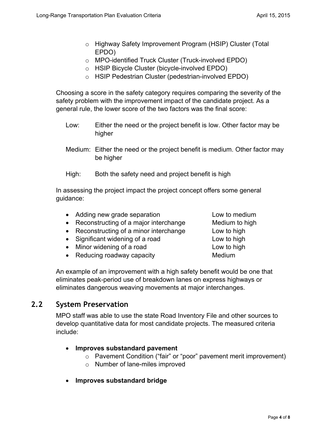- o Highway Safety Improvement Program (HSIP) Cluster (Total EPDO)
- o MPO-identified Truck Cluster (Truck-involved EPDO)
- o HSIP Bicycle Cluster (bicycle-involved EPDO)
- o HSIP Pedestrian Cluster (pedestrian-involved EPDO)

Choosing a score in the safety category requires comparing the severity of the safety problem with the improvement impact of the candidate project. As a general rule, the lower score of the two factors was the final score:

- Low: Either the need or the project benefit is low. Other factor may be higher
- Medium: Either the need or the project benefit is medium. Other factor may be higher
- High: Both the safety need and project benefit is high

In assessing the project impact the project concept offers some general guidance:

- Adding new grade separation Low to medium
- Reconstructing of a major interchange Medium to high
- Reconstructing of a minor interchange Low to high
- Significant widening of a road Low to high
- Minor widening of a road Low to high
- Reducing roadway capacity **Medium**

An example of an improvement with a high safety benefit would be one that eliminates peak-period use of breakdown lanes on express highways or eliminates dangerous weaving movements at major interchanges.

## **2.2 System Preservation**

MPO staff was able to use the state Road Inventory File and other sources to develop quantitative data for most candidate projects. The measured criteria include:

#### **Improves substandard pavement**

- o Pavement Condition ("fair" or "poor" pavement merit improvement)
- o Number of lane-miles improved
- **Improves substandard bridge**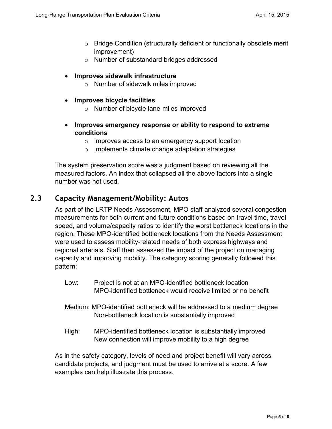- o Bridge Condition (structurally deficient or functionally obsolete merit improvement)
- o Number of substandard bridges addressed

#### **Improves sidewalk infrastructure**

- o Number of sidewalk miles improved
- **Improves bicycle facilities**
	- o Number of bicycle lane-miles improved
- **Improves emergency response or ability to respond to extreme conditions**
	- o Improves access to an emergency support location
	- o Implements climate change adaptation strategies

The system preservation score was a judgment based on reviewing all the measured factors. An index that collapsed all the above factors into a single number was not used.

#### **2.3 Capacity Management/Mobility: Autos**

As part of the LRTP Needs Assessment, MPO staff analyzed several congestion measurements for both current and future conditions based on travel time, travel speed, and volume/capacity ratios to identify the worst bottleneck locations in the region. These MPO-identified bottleneck locations from the Needs Assessment were used to assess mobility-related needs of both express highways and regional arterials. Staff then assessed the impact of the project on managing capacity and improving mobility. The category scoring generally followed this pattern:

- Low: Project is not at an MPO-identified bottleneck location MPO-identified bottleneck would receive limited or no benefit
- Medium: MPO-identified bottleneck will be addressed to a medium degree Non-bottleneck location is substantially improved
- High: MPO-identified bottleneck location is substantially improved New connection will improve mobility to a high degree

As in the safety category, levels of need and project benefit will vary across candidate projects, and judgment must be used to arrive at a score. A few examples can help illustrate this process.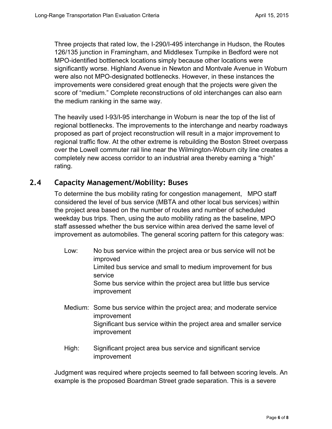Three projects that rated low, the I-290/I-495 interchange in Hudson, the Routes 126/135 junction in Framingham, and Middlesex Turnpike in Bedford were not MPO-identified bottleneck locations simply because other locations were significantly worse. Highland Avenue in Newton and Montvale Avenue in Woburn were also not MPO-designated bottlenecks. However, in these instances the improvements were considered great enough that the projects were given the score of "medium." Complete reconstructions of old interchanges can also earn the medium ranking in the same way.

The heavily used I-93/I-95 interchange in Woburn is near the top of the list of regional bottlenecks. The improvements to the interchange and nearby roadways proposed as part of project reconstruction will result in a major improvement to regional traffic flow. At the other extreme is rebuilding the Boston Street overpass over the Lowell commuter rail line near the Wilmington-Woburn city line creates a completely new access corridor to an industrial area thereby earning a "high" rating.

#### **2.4 Capacity Management/Mobility: Buses**

To determine the bus mobility rating for congestion management, MPO staff considered the level of bus service (MBTA and other local bus services) within the project area based on the number of routes and number of scheduled weekday bus trips. Then, using the auto mobility rating as the baseline, MPO staff assessed whether the bus service within area derived the same level of improvement as automobiles. The general scoring pattern for this category was:

- Low: No bus service within the project area or bus service will not be improved Limited bus service and small to medium improvement for bus service Some bus service within the project area but little bus service improvement
- Medium: Some bus service within the project area; and moderate service improvement Significant bus service within the project area and smaller service improvement
- High: Significant project area bus service and significant service improvement

Judgment was required where projects seemed to fall between scoring levels. An example is the proposed Boardman Street grade separation. This is a severe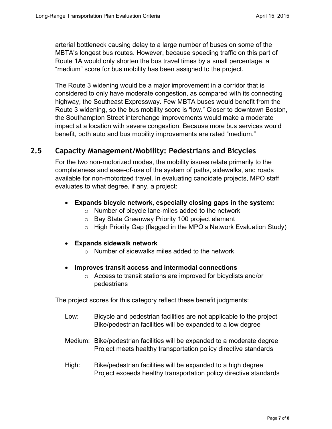arterial bottleneck causing delay to a large number of buses on some of the MBTA's longest bus routes. However, because speeding traffic on this part of Route 1A would only shorten the bus travel times by a small percentage, a "medium" score for bus mobility has been assigned to the project.

The Route 3 widening would be a major improvement in a corridor that is considered to only have moderate congestion, as compared with its connecting highway, the Southeast Expressway. Few MBTA buses would benefit from the Route 3 widening, so the bus mobility score is "low." Closer to downtown Boston, the Southampton Street interchange improvements would make a moderate impact at a location with severe congestion. Because more bus services would benefit, both auto and bus mobility improvements are rated "medium."

#### **2.5 Capacity Management/Mobility: Pedestrians and Bicycles**

For the two non-motorized modes, the mobility issues relate primarily to the completeness and ease-of-use of the system of paths, sidewalks, and roads available for non-motorized travel. In evaluating candidate projects, MPO staff evaluates to what degree, if any, a project:

#### **Expands bicycle network, especially closing gaps in the system:**

- o Number of bicycle lane-miles added to the network
- o Bay State Greenway Priority 100 project element
- o High Priority Gap (flagged in the MPO's Network Evaluation Study)
- **Expands sidewalk network**
	- $\circ$  Number of sidewalks miles added to the network
- **Improves transit access and intermodal connections**
	- o Access to transit stations are improved for bicyclists and/or pedestrians

The project scores for this category reflect these benefit judgments:

- Low: Bicycle and pedestrian facilities are not applicable to the project Bike/pedestrian facilities will be expanded to a low degree
- Medium: Bike/pedestrian facilities will be expanded to a moderate degree Project meets healthy transportation policy directive standards
- High: Bike/pedestrian facilities will be expanded to a high degree Project exceeds healthy transportation policy directive standards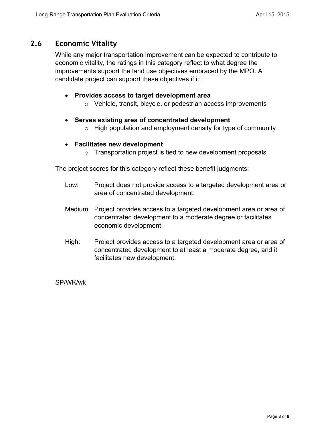### **2.6 Economic Vitality**

While any major transportation improvement can be expected to contribute to economic vitality, the ratings in this category reflect to what degree the improvements support the land use objectives embraced by the MPO. A candidate project can support these objectives if it:

#### **Provides access to target development area**

o Vehicle, transit, bicycle, or pedestrian access improvements

#### **Serves existing area of concentrated development**

 $\circ$  High population and employment density for type of community

#### **Facilitates new development**

 $\circ$  Transportation project is tied to new development proposals

The project scores for this category reflect these benefit judgments:

- Low: Project does not provide access to a targeted development area or area of concentrated development.
- Medium: Project provides access to a targeted development area or area of concentrated development to a moderate degree or facilitates economic development
- High: Project provides access to a targeted development area or area of concentrated development to at least a moderate degree, and it facilitates new development.

SP/WK/wk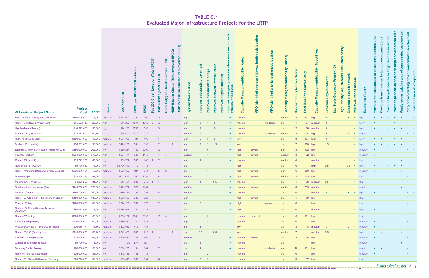| <b>Abbreviated Project Name</b>               | <b>Project</b>                | <b>Cost AADT</b> | <b>Safety</b> | EPDO<br>$\overline{5}$<br>$\circ$<br>$\mathbf C$ | ehicles<br>000<br>00,000,<br>↽<br>EPDO | EPDO | PDO <sub>)</sub><br>ш<br>È<br>ation<br>▭<br>ш<br><b>otal</b><br>ᇰ<br>$\mathbf C$<br>200<br>$\overline{\mathtt{o}}$<br>HSIP<br><b>Top</b> | $\overline{O}$<br>$\Omega$<br>ш<br>$\overline{\bullet}$<br>invo<br>pvlo<br>Truck | EPDO)<br>EPDO)<br>$\overline{8}$<br>-involv<br>be<br>Novu<br>$\overline{8}$<br>e<br>(Bike)<br>$\bullet$<br>ter<br>$\frac{1}{2}$<br><u>ರ</u><br>Φ<br><u>ਹ</u><br>ζÓ<br>m<br>$\mathbf{a}$<br>HSIP<br>HSIP | န<br>Ե<br>≌<br><u>နှ</u> | $\mathbf{E}$<br>ਠ<br>ठ<br>으<br>$\circ$<br><b>P</b> | <b>bridge</b><br>infr<br>ਦ਼<br>tand<br>×<br>dins<br>$\overline{\mathbf{c}}$<br>ò<br>$\vec{0}$<br><u>Impr</u><br>lmp | ilitie<br>icycle<br>ءَ<br>δ<br>ha<br>Mull | $\mathbf{a}$<br>$\omega$<br>č<br>n<br>Φ<br>$\bullet$<br>ō<br>ਠ<br>Ē<br>б<br>Impr | (Autos)<br>t/Mobility<br>ႜႜ<br>Ξ<br>acity<br>Cap | $\overline{5}$<br>÷<br><u>.ಠ</u><br>O<br>Ξ | location<br>$\frac{1}{\sqrt{2}}$<br>e<br>bottler<br>arterial<br>O-identified<br>Ě | ses)<br>(Bu<br><b>Nilidopiny</b><br>ත<br>Σ<br><b>ICity</b><br>Cap | ທ<br>$\alpha$<br><u>g</u><br>$\mathbf{m}$<br>$\overline{\sigma}$<br><b>Numb</b> | Daily<br>$\overline{e}$<br>ā<br><b>VI</b><br><b>Trips</b><br>$\boldsymbol{\omega}$<br>Б<br>$\overline{a}$<br><b>Total</b> | ds/Bikes)<br>é<br>lobility<br>ĔЙ<br><u>မ</u> ွ<br>Σ<br>写<br>$\mathbf{\sigma}$<br>ap<br>$\mathbf c$ | ork<br>etw<br>$\blacksquare$<br>$c$ le<br>bicy<br><u>ds</u><br>ā<br>Exp | Study)<br>$\circ$<br>āti<br>ule<br>100<br>ш<br>riority<br>(Network<br>$\mathbf{a}$<br>Gap<br>riority<br>$\overline{\mathbf{C}}$<br><b>State</b><br>$\mathbf{a}$<br>High<br>Bay | netw<br>$\frac{1}{2}$<br>id<br><u>ds</u><br>$\mathbf{r}$<br>Exp | <u>ia pr</u>             | Eco      | 8<br>ರ<br>$\frac{6}{5}$<br>$\overline{\mathbf{c}}$<br>Provi | $\frac{1}{a}$<br>Provid | $\bullet$<br>Ĕ<br>ത<br>T.<br>ರ<br>$rac{e}{\sigma}$<br>ھ<br>ovid<br><b>To</b>                                              | elopment<br>ō<br>$\overline{\bullet}$<br>Φ<br>ပ<br>o<br>ත<br>⋗ | Ĕ<br>$\overline{\mathbf{c}}$<br>৳<br>puistive<br>음<br>Ë<br>Partly |
|-----------------------------------------------|-------------------------------|------------------|---------------|--------------------------------------------------|----------------------------------------|------|------------------------------------------------------------------------------------------------------------------------------------------|----------------------------------------------------------------------------------|---------------------------------------------------------------------------------------------------------------------------------------------------------------------------------------------------------|--------------------------|----------------------------------------------------|---------------------------------------------------------------------------------------------------------------------|-------------------------------------------|----------------------------------------------------------------------------------|--------------------------------------------------|--------------------------------------------|-----------------------------------------------------------------------------------|-------------------------------------------------------------------|---------------------------------------------------------------------------------|---------------------------------------------------------------------------------------------------------------------------|----------------------------------------------------------------------------------------------------|-------------------------------------------------------------------------|--------------------------------------------------------------------------------------------------------------------------------------------------------------------------------|-----------------------------------------------------------------|--------------------------|----------|-------------------------------------------------------------|-------------------------|---------------------------------------------------------------------------------------------------------------------------|----------------------------------------------------------------|-------------------------------------------------------------------|
| Allston Viaduct Realignment (Boston)          | \$460,000,000                 | 174,000          | medium        | \$1,133,005                                      | 236                                    | 406  | 3                                                                                                                                        |                                                                                  |                                                                                                                                                                                                         | high                     |                                                    |                                                                                                                     |                                           | $\bullet$                                                                        | medium                                           |                                            |                                                                                   | medium                                                            |                                                                                 | 421                                                                                                                       | high                                                                                               | $\bullet$                                                               |                                                                                                                                                                                |                                                                 | $\bullet$ $\bullet$ high |          | $\bullet$                                                   | $\bullet$               | $\bullet$                                                                                                                 |                                                                |                                                                   |
| Route 18 Widening (Weymouth)                  | \$58,822,115                  | 29,600 high      |               | \$43,252                                         | 4641                                   | 1360 | -6                                                                                                                                       | $10 \t 4$                                                                        |                                                                                                                                                                                                         | high                     | 8 <sup>1</sup>                                     | $1 \quad 8$                                                                                                         |                                           | $\bullet$                                                                        | medium                                           |                                            | moderate                                                                          | low                                                               |                                                                                 | 127                                                                                                                       | medium                                                                                             | 8                                                                       |                                                                                                                                                                                |                                                                 |                          | high     |                                                             |                         | $\bullet$<br>٠                                                                                                            |                                                                | $\bullet$ $\bullet$                                               |
| <b>Highland Ave (Newton)</b>                  | \$14,297,606                  | 35,000 high      |               | \$24,233                                         | 1703                                   | 590  | 3 <sup>7</sup>                                                                                                                           | $\overline{1}$                                                                   |                                                                                                                                                                                                         | high                     | $\mathbf{Q}$                                       | $6\overline{6}$                                                                                                     |                                           | $\bullet$                                                                        | medium                                           |                                            |                                                                                   | low                                                               |                                                                                 | 86                                                                                                                        | medium                                                                                             | 6                                                                       |                                                                                                                                                                                |                                                                 |                          | • high   |                                                             |                         | $\bullet$<br>$\bullet$                                                                                                    |                                                                |                                                                   |
| Route 4/225 (Lexington)                       | \$23,221,000                  | 40,200 high      |               | \$44,400                                         | 1314                                   | 523  | $\overline{2}$                                                                                                                           |                                                                                  |                                                                                                                                                                                                         | medium                   |                                                    |                                                                                                                     |                                           | $\bullet$                                                                        | medium                                           |                                            | moderate                                                                          | medium                                                            |                                                                                 | 104                                                                                                                       | high                                                                                               | 8                                                                       |                                                                                                                                                                                | 8 <sup>1</sup>                                                  |                          | • medium |                                                             |                         |                                                                                                                           |                                                                | $\bullet\qquad\bullet$                                            |
| <b>Rutherford Ave (Boston)</b>                | \$109,967,000                 |                  | 48,200 medium | \$561,056                                        | 411                                    | 196  |                                                                                                                                          | $1 \quad 1$                                                                      |                                                                                                                                                                                                         | high                     | $9^{\circ}$                                        | $6\overline{6}$<br>$3^{\circ}$                                                                                      |                                           | $\bullet$ low                                                                    |                                                  |                                            |                                                                                   | low                                                               |                                                                                 | 897                                                                                                                       | high                                                                                               | $6\overline{6}$                                                         |                                                                                                                                                                                |                                                                 | $\bullet$ high           |          |                                                             | $\bullet$<br>$\bullet$  |                                                                                                                           | $\bullet \qquad \bullet$                                       |                                                                   |
| McGrath (Somerville)                          | \$56,563,000                  |                  | 38,000 medium | \$425,286                                        | 354                                    | 133  | $\overline{2}$                                                                                                                           |                                                                                  |                                                                                                                                                                                                         | high                     | 3                                                  | $2 \qquad 1.5$                                                                                                      |                                           |                                                                                  | low                                              |                                            |                                                                                   | low                                                               |                                                                                 | 558                                                                                                                       | high                                                                                               | 1.5                                                                     |                                                                                                                                                                                |                                                                 | $\bullet$ high           |          | $\bullet$                                                   | $\bullet$<br>$\bullet$  | $\bullet$ .                                                                                                               |                                                                |                                                                   |
| Extend I-93 HOV Lane (Somerville to Woburn)   | \$550,000,000                 | 202,000 low      |               | \$239,234                                        | 1150                                   | 2299 |                                                                                                                                          | $17$ 7                                                                           |                                                                                                                                                                                                         | high                     |                                                    | 6                                                                                                                   |                                           | $\bullet$                                                                        | high                                             | severe                                     |                                                                                   | high                                                              |                                                                                 | 492                                                                                                                       | low                                                                                                |                                                                         |                                                                                                                                                                                |                                                                 |                          | medium   | $\bullet$                                                   |                         |                                                                                                                           |                                                                | $\bullet$ . $\bullet$                                             |
| I-93/I-95 (Woburn)                            | \$294,000,000                 | 373,000 high     |               | \$207,774                                        | 383                                    | 1415 |                                                                                                                                          | $7\quad 5$                                                                       |                                                                                                                                                                                                         | medium                   |                                                    |                                                                                                                     |                                           | $\bullet$                                                                        | high                                             | severe                                     |                                                                                   | medium                                                            | -3                                                                              | 92                                                                                                                        | low                                                                                                |                                                                         |                                                                                                                                                                                |                                                                 |                          | medium   | $\bullet$                                                   |                         |                                                                                                                           |                                                                | $\bullet \qquad \bullet$                                          |
| Route 27/9 (Natick)                           | \$25,793,370                  | 80,000 high      |               | \$55,709                                         | 585                                    | 463  | $\overline{2}$<br>$\overline{1}$                                                                                                         |                                                                                  |                                                                                                                                                                                                         | high                     |                                                    | $1 \quad 1$                                                                                                         |                                           | $\bullet$                                                                        | medium                                           |                                            |                                                                                   | medium                                                            | $\overline{4}$                                                                  |                                                                                                                           | medium                                                                                             | $\overline{1}$                                                          |                                                                                                                                                                                |                                                                 | $\bullet$ low            |          |                                                             |                         |                                                                                                                           | $\bullet$                                                      |                                                                   |
| New Boston St (Woburn)                        | \$9,706,549                   | 14,000 low       |               | \$9,706,549                                      | $\overline{7}$                         |      |                                                                                                                                          |                                                                                  |                                                                                                                                                                                                         | low                      |                                                    |                                                                                                                     |                                           |                                                                                  | high                                             |                                            |                                                                                   | low                                                               | $\overline{0}$                                                                  |                                                                                                                           | high                                                                                               | 0.5                                                                     |                                                                                                                                                                                |                                                                 | $0.5$ • high             |          | $\bullet$                                                   |                         | $\bullet$                                                                                                                 | $\bullet$ $\bullet$                                            |                                                                   |
| Route 1 Widening (Malden, Revere, Saugus)     | \$236,078,161                 | 115,000 medium   |               | \$666,887                                        | 311                                    | 354  |                                                                                                                                          | 5 <sub>2</sub>                                                                   |                                                                                                                                                                                                         | low                      |                                                    |                                                                                                                     |                                           | $\bullet$                                                                        | high                                             | severe                                     |                                                                                   | high                                                              |                                                                                 | $250$ low                                                                                                                 |                                                                                                    |                                                                         |                                                                                                                                                                                |                                                                 |                          | medium   | $\blacksquare$                                              |                         |                                                                                                                           | $\bullet$                                                      |                                                                   |
| <b>Braintree Split</b>                        | \$53,288,794                  | 282,000 high     |               | \$32,612.48                                      | 585                                    | 1634 |                                                                                                                                          | $4 \quad 1$                                                                      |                                                                                                                                                                                                         | medium                   |                                                    | 3                                                                                                                   |                                           | $\bullet$                                                                        | high                                             | severe                                     |                                                                                   | medium                                                            | -5                                                                              | $283$ low                                                                                                                 |                                                                                                    |                                                                         |                                                                                                                                                                                |                                                                 |                          | low      |                                                             |                         |                                                                                                                           |                                                                | $\bullet$                                                         |
| Montvale Ave (Woburn)                         | \$4,225,256                   | 31,000 high      |               | \$15,534                                         | 886                                    | 272  | $\overline{1}$                                                                                                                           |                                                                                  |                                                                                                                                                                                                         | high                     |                                                    | 0.5                                                                                                                 |                                           | $\bullet$                                                                        | medium                                           |                                            |                                                                                   | low                                                               |                                                                                 | 38                                                                                                                        | medium                                                                                             | 0.5                                                                     |                                                                                                                                                                                |                                                                 | $\bullet$ low            |          |                                                             |                         |                                                                                                                           |                                                                |                                                                   |
| Southampton Interchange (Boston)              | \$143,750,000 225,000 medium  |                  |               | \$123,709                                        | 522                                    | 1162 |                                                                                                                                          |                                                                                  |                                                                                                                                                                                                         | medium                   |                                                    | $\mathbf{1}$                                                                                                        |                                           | $\bullet$                                                                        | medium                                           | severe                                     |                                                                                   | medium                                                            |                                                                                 | 705                                                                                                                       | medium                                                                                             |                                                                         |                                                                                                                                                                                |                                                                 |                          | medium   |                                                             |                         |                                                                                                                           | $\bullet$                                                      |                                                                   |
| I-93/I-95 (Canton)                            | \$186,700,000                 | 240,000 medium   |               | \$470,277                                        | 167                                    | 397  |                                                                                                                                          | $4\quad 2$                                                                       |                                                                                                                                                                                                         | medium                   |                                                    | $\overline{2}$                                                                                                      |                                           |                                                                                  | • medium                                         |                                            |                                                                                   | low                                                               |                                                                                 |                                                                                                                           | medium                                                                                             | $\bullet$                                                               |                                                                                                                                                                                |                                                                 | $\bullet$ $\bullet$ high |          | $\bullet$                                                   |                         |                                                                                                                           |                                                                | $\bullet \qquad \bullet$                                          |
| Route 128 Add-a-Lane (Needham, Wellesley)     | \$150,000,000                 | 188,000 medium   |               | \$208,333                                        | 387                                    | 720  |                                                                                                                                          | $4 \quad 1$                                                                      |                                                                                                                                                                                                         | high                     |                                                    | $\overline{4}$                                                                                                      |                                           |                                                                                  | high                                             | severe                                     |                                                                                   | low                                                               | $\overline{1}$                                                                  | 50                                                                                                                        | low                                                                                                |                                                                         |                                                                                                                                                                                |                                                                 |                          | low      |                                                             |                         |                                                                                                                           |                                                                | $\bullet$                                                         |
| <b>Concord Rotary</b>                         | \$104,000,000                 |                  | 48,000 medium | \$594,286                                        | 368                                    | 175  |                                                                                                                                          | $2 \quad 1$                                                                      |                                                                                                                                                                                                         | high                     | 6 <sup>1</sup>                                     | $\blacksquare$ 1                                                                                                    |                                           | $\bullet$ high                                                                   |                                                  |                                            | severe                                                                            | low                                                               | $\overline{0}$                                                                  |                                                                                                                           | low                                                                                                |                                                                         |                                                                                                                                                                                |                                                                 |                          | low      |                                                             |                         |                                                                                                                           |                                                                | $\bullet$                                                         |
| Dedham St Ramp (Canton, Norwood,<br>Westwood) | \$50,961,567                  | 5,000 low        |               | \$1,456,045                                      | 707                                    | 35   |                                                                                                                                          |                                                                                  |                                                                                                                                                                                                         | low                      |                                                    | $\mathbf{1}$                                                                                                        |                                           | $\bullet$ high                                                                   |                                                  |                                            |                                                                                   | low                                                               | $\overline{0}$                                                                  |                                                                                                                           | medium                                                                                             | $\overline{1}$                                                          |                                                                                                                                                                                |                                                                 | $1 \bullet$ high         |          | $\bullet$                                                   |                         |                                                                                                                           |                                                                | $\bullet$ . $\bullet$                                             |
| Route 3 Widening                              | \$800,000,000                 | 159,000 high     |               | \$365,297                                        | 1391                                   | 2190 |                                                                                                                                          | $15 \qquad 3$                                                                    |                                                                                                                                                                                                         | high                     |                                                    | 9                                                                                                                   |                                           |                                                                                  | medium                                           | moderate                                   |                                                                                   | low                                                               | 5 <sup>5</sup>                                                                  | 361                                                                                                                       | low                                                                                                |                                                                         |                                                                                                                                                                                |                                                                 |                          | low      |                                                             |                         |                                                                                                                           |                                                                | $\bullet$                                                         |
| I-90/I-495 (Hopkinton)                        | \$220,000,000                 | 209,000 medium   |               | \$660,661                                        | 161                                    | 333  |                                                                                                                                          | $3 \quad 4$                                                                      |                                                                                                                                                                                                         | high                     |                                                    | $\overline{4}$                                                                                                      |                                           |                                                                                  | medium                                           |                                            |                                                                                   | low                                                               | $\Omega$                                                                        |                                                                                                                           | low                                                                                                |                                                                         |                                                                                                                                                                                |                                                                 |                          | medium • |                                                             |                         |                                                                                                                           |                                                                | $\bullet$                                                         |
| Middlesex, Phase III (Bedford, Burlington)    | \$26,935,171                  |                  | 14,300 medium | \$402,017                                        | 473                                    | 67   |                                                                                                                                          |                                                                                  |                                                                                                                                                                                                         | high                     | 3 <sup>7</sup>                                     | $\overline{1}$                                                                                                      |                                           |                                                                                  | low                                              |                                            |                                                                                   | low                                                               | $\overline{3}$                                                                  |                                                                                                                           | medium                                                                                             | $\overline{\mathbf{3}}$                                                 |                                                                                                                                                                                | 3 <sup>7</sup>                                                  | $\bullet$                | medium • |                                                             |                         |                                                                                                                           |                                                                | $\bullet \qquad \bullet$                                          |
| Route 126/135 (Framingham)                    | \$115,000,000                 |                  | 35,400 medium | \$542,453                                        | 605                                    | 212  | $\overline{1}$                                                                                                                           |                                                                                  | $1 \quad 1$                                                                                                                                                                                             | low                      | 0.5                                                | 0.5                                                                                                                 |                                           | $\bullet$ low                                                                    |                                                  |                                            |                                                                                   | medium                                                            | $\overline{7}$                                                                  |                                                                                                                           | medium                                                                                             | 0.5                                                                     | $\bullet$                                                                                                                                                                      |                                                                 | $\bullet$                | high     |                                                             |                         | $\begin{array}{cccccccccccccc} \bullet & \bullet & \bullet & \bullet & \bullet & \bullet & \bullet & \bullet \end{array}$ |                                                                | $\bullet$                                                         |
| I-95 Add-a-Lane (Woburn)                      | \$32,900,000                  | 164,000 medium   |               | \$109,667                                        | 185                                    | 300  |                                                                                                                                          | $2 \quad 1$                                                                      |                                                                                                                                                                                                         | medium                   |                                                    |                                                                                                                     |                                           | $\bullet$                                                                        | medium                                           | severe                                     |                                                                                   | low                                                               | 2                                                                               |                                                                                                                           | $75$ low                                                                                           |                                                                         |                                                                                                                                                                                |                                                                 |                          | medium   |                                                             |                         |                                                                                                                           |                                                                | $\bullet$                                                         |
| <b>Cypher St Extension (Boston)</b>           | \$9,700,000                   | 1,000 low        |               | N/A                                              | N/A                                    | N/A  |                                                                                                                                          |                                                                                  |                                                                                                                                                                                                         | low                      |                                                    |                                                                                                                     |                                           | $\bullet$                                                                        | medium                                           |                                            |                                                                                   | low                                                               |                                                                                 |                                                                                                                           | low                                                                                                |                                                                         |                                                                                                                                                                                |                                                                 |                          | medium   |                                                             |                         |                                                                                                                           | $\bullet$                                                      | <b>Service</b>                                                    |
| Mahoney Circle (Revere)                       | \$60,000,000                  | 56,000 low       |               | \$588,235                                        | 184                                    | 102  |                                                                                                                                          | $2 \quad 1$                                                                      |                                                                                                                                                                                                         | low                      |                                                    |                                                                                                                     |                                           |                                                                                  | • medium                                         |                                            | moderate                                                                          | high                                                              | 10 <sup>°</sup>                                                                 | 451                                                                                                                       | low                                                                                                |                                                                         |                                                                                                                                                                                |                                                                 |                          | medium   | $\bullet$ , $\bullet$                                       |                         |                                                                                                                           |                                                                | $\bullet$                                                         |
| Route 9/I-495 (Southborough)                  | \$25,000,000                  | 135,000 low      |               | \$342,466                                        | 55                                     | 73   | $\mathbf{1}$                                                                                                                             |                                                                                  |                                                                                                                                                                                                         | high                     |                                                    | $\overline{2}$                                                                                                      |                                           |                                                                                  | medium                                           |                                            |                                                                                   | low                                                               | $\Omega$                                                                        |                                                                                                                           | low                                                                                                |                                                                         |                                                                                                                                                                                |                                                                 |                          | medium   | $\bullet$                                                   |                         |                                                                                                                           |                                                                | $\bullet$                                                         |
| Route 128, Phase II (Danvers, Peabody)        | \$23,776,000  102,000  medium |                  |               | \$65,319 360                                     |                                        | 364  |                                                                                                                                          | $3 \quad 1$                                                                      |                                                                                                                                                                                                         | high                     | $7 \qquad 2$                                       |                                                                                                                     |                                           |                                                                                  | • medium                                         |                                            |                                                                                   | low                                                               | $\mathbf{3}$                                                                    |                                                                                                                           | $57$ low                                                                                           |                                                                         |                                                                                                                                                                                |                                                                 |                          | low      |                                                             |                         |                                                                                                                           |                                                                | $\bullet$                                                         |

# **TABLE C.1 Evaluated Major Infrastructure Projects for the LRTP**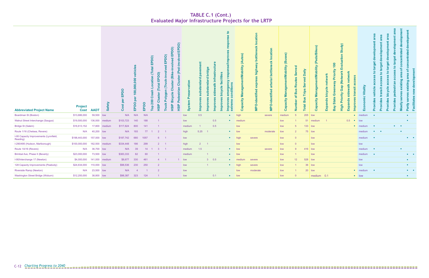| <b>Abbreviated Project Name</b>                    | <b>Project</b> | Cost AADT      | <b>Safety</b> | pod<br>面<br><u>ზ</u><br>$\overline{\mathbf{S}}$<br>$\mathbf C$ | vehicles<br>00,000,000<br>$\mathbf$<br>$\Omega$<br>EPDO | <b>Gda</b> | E<br>ô<br>EPD<br>ation<br><b>Total</b><br>$\overline{e}$<br>ഗ<br>$\mathbf C$<br>$\vec{c}$<br>$\bullet$<br>20<br>HSIP<br>Гор | (Bike<br>luster<br>$\overline{\mathbf{o}}$<br>$\frac{e}{c}$<br>ចា<br>Bicy<br>Truck<br>HSIP | $\overline{\phantom{a}}$<br>$\mathbf{d}$<br>$\mathbf c$<br>HSIP | ation<br>$\Omega$<br>stem<br>စိ | $\Omega$<br>$\overline{\mathbf{c}}$<br>़<br>Ξ | bridge<br>P<br>lmpr | о<br>δ<br>a<br>E | acilities<br><b>Iditions</b><br>cle<br>0<br>bicy<br>$\overline{5}$<br>ల<br>ഗ<br>ω<br>$\omega$<br>$\delta$<br>$\overline{\mathbf{a}}$<br>lmpr | obility<br>nage<br>$\overline{\omega}$<br>Ξ<br>acity<br>$\frac{1}{6}$<br>ت | high<br>$\overline{\sigma}$<br>ntifi<br>Ō<br>$\circ$<br>ě | ottle<br>$\mathbf{a}$<br>erial<br>$\overline{\mathbf{c}}$<br>entifi<br>후<br>$\ddot{\mathbf{O}}$<br>$\tilde{\mathbf{z}}$ | nt/Mobility<br><b>e</b><br>$\boldsymbol{\varpi}$<br>$\mathbf{\overline{a}}$<br>š<br>acity<br>Capa | m<br>ö<br>Φ<br>Numl | Daily<br>ಕ<br>$\omega$<br>ω<br>ທ<br>$\boldsymbol{a}$<br>Trips<br>$\omega$<br>Ξ<br><b>Total</b> | nt/Mobility<br>ō<br><b>Mana</b><br>Capacity | οrk<br>$\mathbf{c}$<br>bicy<br>ands<br>Exp | riority<br>$\circ$<br>$\mathbf{a}$<br>듕<br>₹<br>ap<br>ξĪ<br>Ū<br><b>State</b><br>٥<br>Bay | netw<br>$\overline{\phantom{a}}$<br>$\overline{\overline{6}}$<br>$s$ id<br><b>S</b><br>Ë<br>Expa<br>High | ÷<br>$\overline{a}$<br>$\Omega$ | Vitality<br>$\mathbf{c}$<br>$\circ$<br>ō<br>ш | $\omega$<br>$\overline{\mathbf{C}}$<br>$\circ$ | $\mathbf{c}$<br>ൕ<br>rovid | ठ<br>σ<br>യ<br>യ<br>ਣ<br>ਾ<br>rovi<br>rovi | 5                       | puisting<br>Partly | $\overline{\phantom{a}}$<br><b>Ellip</b> |
|----------------------------------------------------|----------------|----------------|---------------|----------------------------------------------------------------|---------------------------------------------------------|------------|-----------------------------------------------------------------------------------------------------------------------------|--------------------------------------------------------------------------------------------|-----------------------------------------------------------------|---------------------------------|-----------------------------------------------|---------------------|------------------|----------------------------------------------------------------------------------------------------------------------------------------------|----------------------------------------------------------------------------|-----------------------------------------------------------|-------------------------------------------------------------------------------------------------------------------------|---------------------------------------------------------------------------------------------------|---------------------|------------------------------------------------------------------------------------------------|---------------------------------------------|--------------------------------------------|-------------------------------------------------------------------------------------------|----------------------------------------------------------------------------------------------------------|---------------------------------|-----------------------------------------------|------------------------------------------------|----------------------------|--------------------------------------------|-------------------------|--------------------|------------------------------------------|
| <b>Boardman St (Boston)</b>                        | \$13,686,000   | 59,500 low     |               | N/A                                                            | N/A                                                     | N/A        |                                                                                                                             |                                                                                            |                                                                 | low                             | 0.5                                           |                     |                  | $\bullet$                                                                                                                                    | high                                                                       |                                                           | severe                                                                                                                  | medium                                                                                            | -5                  | $205$ low                                                                                      |                                             |                                            |                                                                                           |                                                                                                          |                                 | $\bullet$ medium                              | $\bullet$                                      |                            |                                            |                         | $\bullet$          |                                          |
| Walnut Street Interchange (Saugus)                 | \$19,500,000   | 136,000 medium |               | \$103,723                                                      | 140                                                     | 188        |                                                                                                                             |                                                                                            |                                                                 | low                             |                                               |                     | 0.5              | $\bullet$                                                                                                                                    | medium                                                                     |                                                           |                                                                                                                         | low                                                                                               |                     | 51                                                                                             | medium                                      | $\overline{1}$                             |                                                                                           |                                                                                                          | 0.5 • low                       |                                               |                                                |                            |                                            |                         | $\bullet$          |                                          |
|                                                    |                |                |               |                                                                |                                                         |            |                                                                                                                             |                                                                                            |                                                                 |                                 |                                               |                     |                  |                                                                                                                                              |                                                                            |                                                           |                                                                                                                         |                                                                                                   |                     |                                                                                                |                                             |                                            |                                                                                           |                                                                                                          |                                 |                                               |                                                |                            |                                            |                         |                    |                                          |
| <b>Bridge St (Salem)</b>                           | \$16,613,152   |                | 17,800 medium | \$117,824                                                      | 800                                                     | 141        |                                                                                                                             |                                                                                            |                                                                 | medium                          | $\overline{1}$                                |                     | 0.5              |                                                                                                                                              | low                                                                        |                                                           |                                                                                                                         | low                                                                                               | 5 <sup>5</sup>      | $133$ low                                                                                      |                                             |                                            |                                                                                           |                                                                                                          |                                 | • medium                                      |                                                |                            |                                            | $\bullet$ . $\bullet$ . |                    |                                          |
| Route 1/16 (Chelsea, Revere)                       | N/A            | 40,200 low     |               | N/A                                                            | 193                                                     | 77         | $\overline{2}$                                                                                                              | $\overline{1}$                                                                             |                                                                 | high                            | 5.25                                          |                     |                  | $\bullet$                                                                                                                                    | low                                                                        |                                                           | moderate                                                                                                                | low                                                                                               | $\overline{2}$      | $75$ low                                                                                       |                                             |                                            |                                                                                           |                                                                                                          |                                 | medium                                        | $\bullet \qquad \bullet$                       |                            |                                            | $\bullet$               |                    |                                          |
| I-95 Capacity Improvements (Lynnfield,<br>Reading) | \$198,443,000  | 157,000 low    |               | \$187,742                                                      | 680                                                     | 1057       | $6^{\circ}$                                                                                                                 | $\overline{1}$                                                                             |                                                                 | low                             |                                               |                     |                  | $\bullet$                                                                                                                                    | high                                                                       | severe                                                    |                                                                                                                         | low                                                                                               | $\overline{0}$      |                                                                                                | low                                         |                                            |                                                                                           |                                                                                                          |                                 | medium                                        | $\bullet$                                      |                            |                                            |                         |                    | $\bullet \qquad \bullet$                 |
| I-290/495 (Hudson, Marlborough)                    | \$100,000,000  | 162,500        | medium        | \$334,448                                                      | 186                                                     | 299        | $2^{\circ}$                                                                                                                 | $\overline{1}$                                                                             |                                                                 | high                            | $2^{\circ}$                                   | - 1                 |                  |                                                                                                                                              | low                                                                        |                                                           |                                                                                                                         | low                                                                                               | $\Omega$            |                                                                                                | low                                         |                                            |                                                                                           |                                                                                                          |                                 | low                                           |                                                |                            |                                            |                         |                    |                                          |
| Route 1A/16 (Revere)                               | N/A            | 36,700 low     |               | N/A                                                            | 39                                                      | 14         | 3 <sup>7</sup>                                                                                                              | $\overline{1}$                                                                             |                                                                 | medium                          | 1.5                                           |                     |                  | $\bullet$                                                                                                                                    | low                                                                        |                                                           | severe                                                                                                                  | low                                                                                               | 9                   | 416 low                                                                                        |                                             |                                            |                                                                                           |                                                                                                          |                                 | medium                                        | $\bullet$                                      |                            |                                            |                         |                    |                                          |
| Brimbal Ave, Phase II (Beverly)                    | \$23,000,000   | 73,500 low     |               | \$383,333                                                      | 82                                                      | 60         |                                                                                                                             |                                                                                            |                                                                 | medium                          |                                               |                     |                  | $\bullet$ .<br><br><br><br><br>                                                                                                              | low                                                                        |                                                           |                                                                                                                         | low                                                                                               |                     |                                                                                                | low                                         |                                            |                                                                                           |                                                                                                          |                                 | medium                                        | $\mathcal{L}^{\mathcal{L}}$ .                  |                            |                                            |                         |                    | $\bullet$ . $\bullet$                    |
| I-90/Interchange 17 (Newton)                       | \$4,000,000    | 141,000 medium |               | \$8,677                                                        | 330                                                     | 461        | $\overline{4}$                                                                                                              |                                                                                            |                                                                 | 1 low                           |                                               | $3\qquad 0.5$       |                  | $\bullet$ .<br><br><br><br><br>                                                                                                              | medium                                                                     | severe                                                    |                                                                                                                         | low                                                                                               | 12 <sup>7</sup>     | 528 low                                                                                        |                                             |                                            |                                                                                           |                                                                                                          |                                 | low                                           |                                                |                            |                                            |                         | $\bullet$          |                                          |
| 128 Capacity Improvements (Peabody)                | \$24,634,000   | 110,000 low    |               | \$98,536                                                       | 230                                                     | 250        | $\overline{2}$                                                                                                              |                                                                                            |                                                                 | low                             |                                               | $\sim$ 1            |                  | $\bullet$                                                                                                                                    | high                                                                       | severe                                                    |                                                                                                                         | low                                                                                               |                     |                                                                                                | $36$ low                                    |                                            |                                                                                           |                                                                                                          |                                 | low                                           |                                                |                            |                                            |                         | $\bullet$          |                                          |
| <b>Riverside Ramp (Newton)</b>                     | N/A            | 23,500 low     |               | N/A                                                            | $\overline{a}$                                          |            | $\overline{2}$                                                                                                              |                                                                                            |                                                                 | low                             |                                               |                     |                  |                                                                                                                                              | low                                                                        | moderate                                                  |                                                                                                                         | low                                                                                               | $\overline{1}$      | $20$ low                                                                                       |                                             |                                            |                                                                                           |                                                                                                          |                                 | • medium                                      | $\bullet$                                      |                            |                                            |                         |                    | $\bullet \qquad \bullet$                 |

### **TABLE C.1 (Cont.) Evaluated Major Infrastructure Projects for the LRTP**